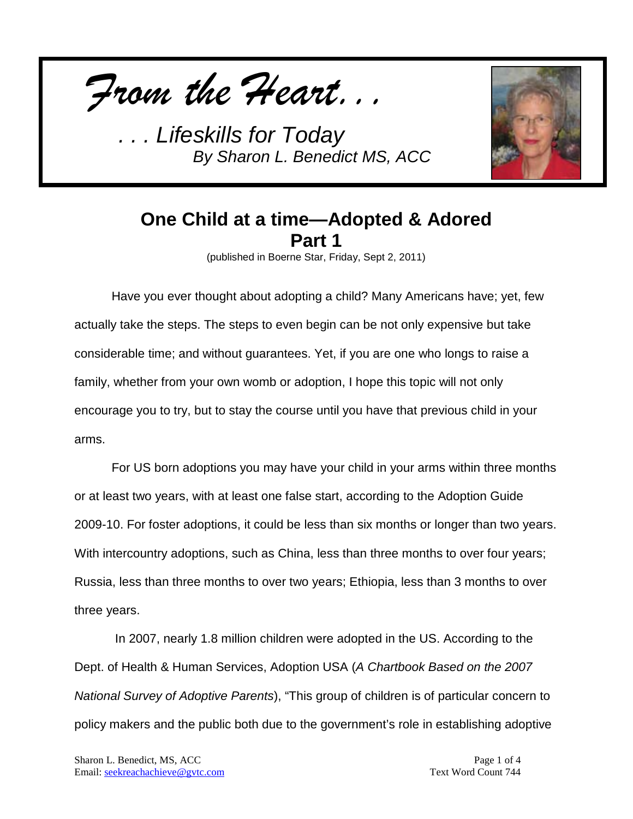



## **One Child at a time—Adopted & Adored Part 1**

(published in Boerne Star, Friday, Sept 2, 2011)

Have you ever thought about adopting a child? Many Americans have; yet, few actually take the steps. The steps to even begin can be not only expensive but take considerable time; and without guarantees. Yet, if you are one who longs to raise a family, whether from your own womb or adoption, I hope this topic will not only encourage you to try, but to stay the course until you have that previous child in your arms.

For US born adoptions you may have your child in your arms within three months or at least two years, with at least one false start, according to the Adoption Guide 2009-10. For foster adoptions, it could be less than six months or longer than two years. With intercountry adoptions, such as China, less than three months to over four years; Russia, less than three months to over two years; Ethiopia, less than 3 months to over three years.

In 2007, nearly 1.8 million children were adopted in the US. According to the Dept. of Health & Human Services, Adoption USA (*A Chartbook Based on the 2007 National Survey of Adoptive Parents*), "This group of children is of particular concern to policy makers and the public both due to the government's role in establishing adoptive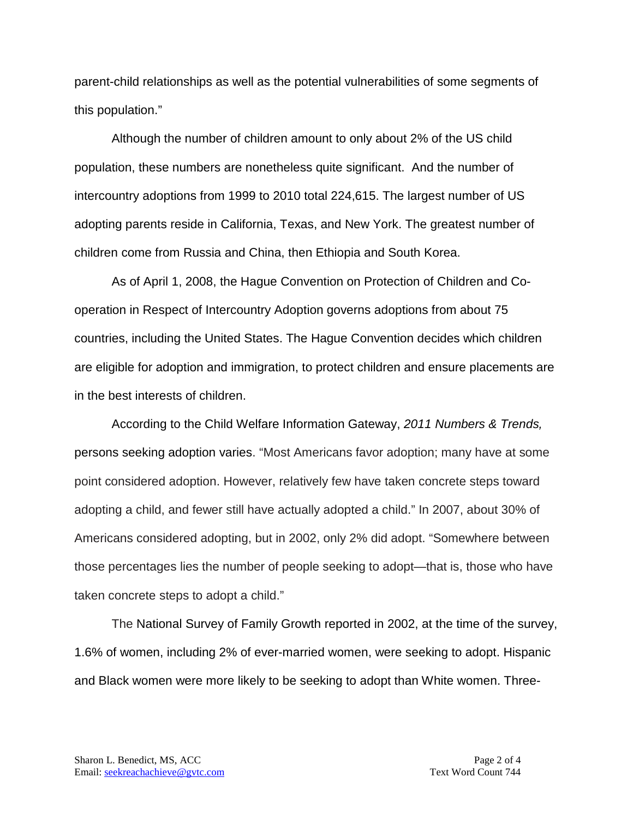parent-child relationships as well as the potential vulnerabilities of some segments of this population."

Although the number of children amount to only about 2% of the US child population, these numbers are nonetheless quite significant. And the number of intercountry adoptions from 1999 to 2010 total 224,615. The largest number of US adopting parents reside in California, Texas, and New York. The greatest number of children come from Russia and China, then Ethiopia and South Korea.

As of April 1, 2008, the Hague Convention on Protection of Children and Cooperation in Respect of Intercountry Adoption governs adoptions from about 75 countries, including the United States. The Hague Convention decides which children are eligible for adoption and immigration, to protect children and ensure placements are in the best interests of children.

According to the Child Welfare Information Gateway, *2011 Numbers & Trends,*  persons seeking adoption varies. "Most Americans favor adoption; many have at some point considered adoption. However, relatively few have taken concrete steps toward adopting a child, and fewer still have actually adopted a child." In 2007, about 30% of Americans considered adopting, but in 2002, only 2% did adopt. "Somewhere between those percentages lies the number of people seeking to adopt—that is, those who have taken concrete steps to adopt a child."

The National Survey of Family Growth reported in 2002, at the time of the survey, 1.6% of women, including 2% of ever-married women, were seeking to adopt. Hispanic and Black women were more likely to be seeking to adopt than White women. Three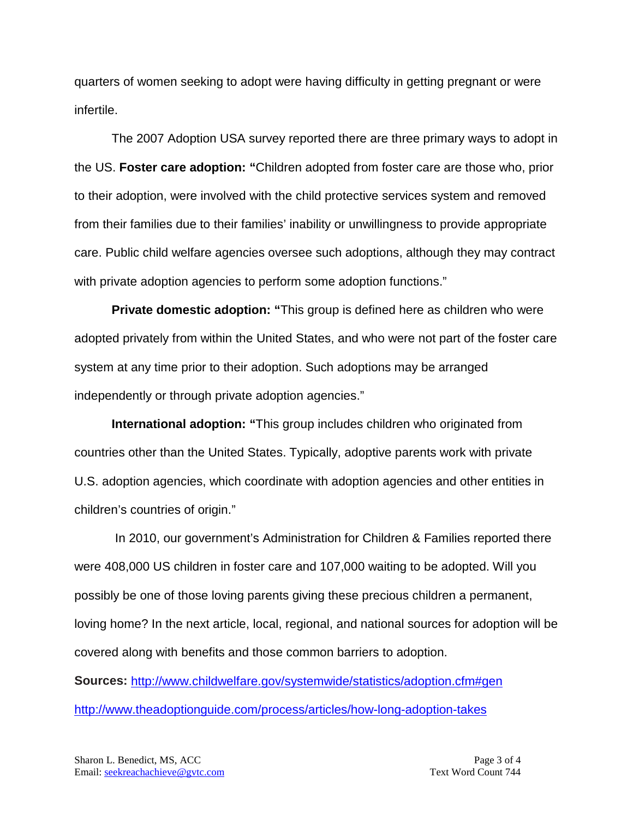quarters of women seeking to adopt were having difficulty in getting pregnant or were infertile.

The 2007 Adoption USA survey reported there are three primary ways to adopt in the US. **Foster care adoption: "**Children adopted from foster care are those who, prior to their adoption, were involved with the child protective services system and removed from their families due to their families' inability or unwillingness to provide appropriate care. Public child welfare agencies oversee such adoptions, although they may contract with private adoption agencies to perform some adoption functions."

**Private domestic adoption: "**This group is defined here as children who were adopted privately from within the United States, and who were not part of the foster care system at any time prior to their adoption. Such adoptions may be arranged independently or through private adoption agencies."

**International adoption: "**This group includes children who originated from countries other than the United States. Typically, adoptive parents work with private U.S. adoption agencies, which coordinate with adoption agencies and other entities in children's countries of origin."

In 2010, our government's Administration for Children & Families reported there were 408,000 US children in foster care and 107,000 waiting to be adopted. Will you possibly be one of those loving parents giving these precious children a permanent, loving home? In the next article, local, regional, and national sources for adoption will be covered along with benefits and those common barriers to adoption.

**Sources:** <http://www.childwelfare.gov/systemwide/statistics/adoption.cfm#gen> <http://www.theadoptionguide.com/process/articles/how-long-adoption-takes>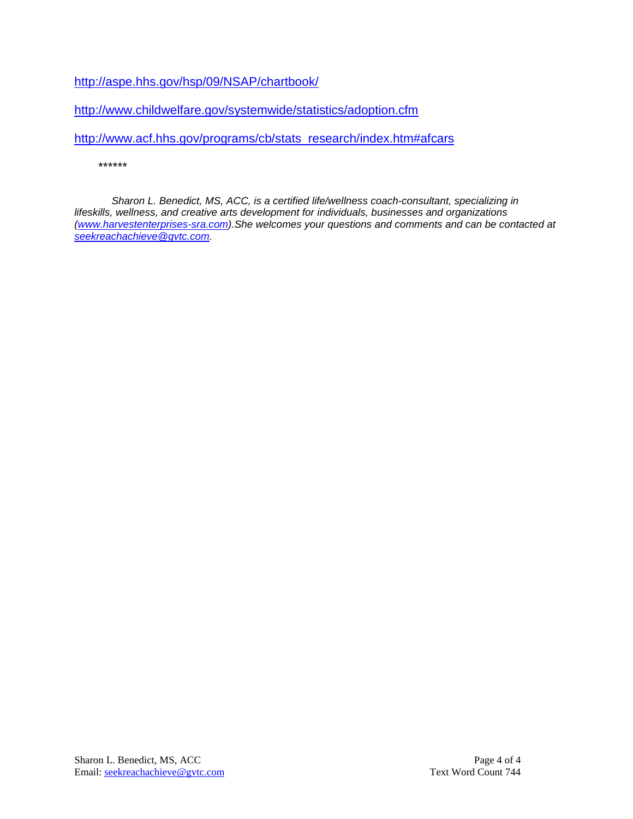<http://aspe.hhs.gov/hsp/09/NSAP/chartbook/>

<http://www.childwelfare.gov/systemwide/statistics/adoption.cfm>

[http://www.acf.hhs.gov/programs/cb/stats\\_research/index.htm#afcars](http://www.acf.hhs.gov/programs/cb/stats_research/index.htm#afcars)

*\*\*\*\*\*\**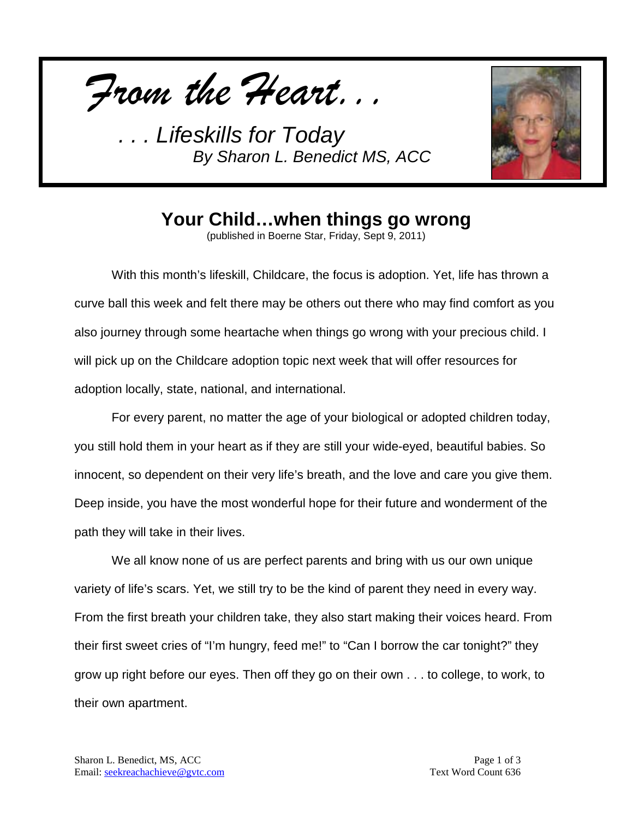*From the Heart...*



## **Your Child…when things go wrong**

(published in Boerne Star, Friday, Sept 9, 2011)

With this month's lifeskill, Childcare, the focus is adoption. Yet, life has thrown a curve ball this week and felt there may be others out there who may find comfort as you also journey through some heartache when things go wrong with your precious child. I will pick up on the Childcare adoption topic next week that will offer resources for adoption locally, state, national, and international.

For every parent, no matter the age of your biological or adopted children today, you still hold them in your heart as if they are still your wide-eyed, beautiful babies. So innocent, so dependent on their very life's breath, and the love and care you give them. Deep inside, you have the most wonderful hope for their future and wonderment of the path they will take in their lives.

We all know none of us are perfect parents and bring with us our own unique variety of life's scars. Yet, we still try to be the kind of parent they need in every way. From the first breath your children take, they also start making their voices heard. From their first sweet cries of "I'm hungry, feed me!" to "Can I borrow the car tonight?" they grow up right before our eyes. Then off they go on their own . . . to college, to work, to their own apartment.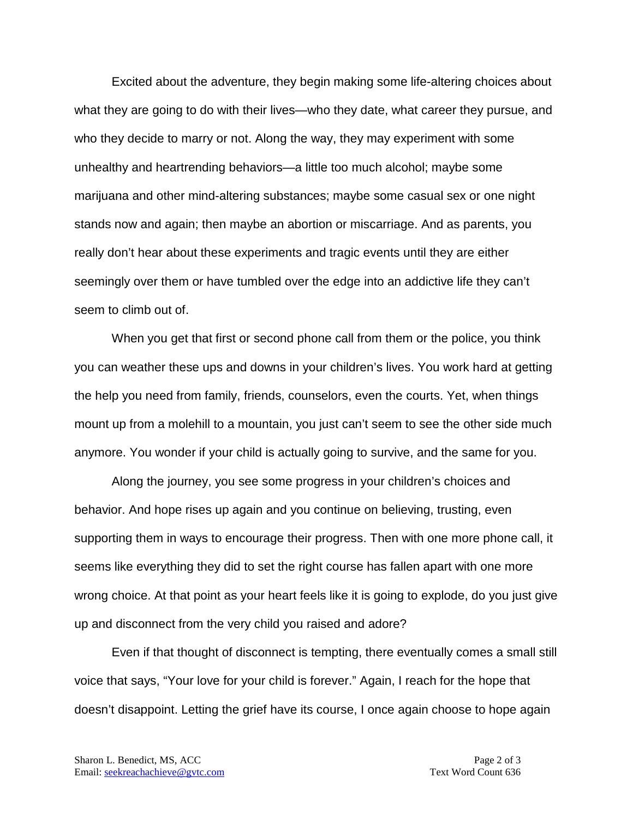Excited about the adventure, they begin making some life-altering choices about what they are going to do with their lives—who they date, what career they pursue, and who they decide to marry or not. Along the way, they may experiment with some unhealthy and heartrending behaviors—a little too much alcohol; maybe some marijuana and other mind-altering substances; maybe some casual sex or one night stands now and again; then maybe an abortion or miscarriage. And as parents, you really don't hear about these experiments and tragic events until they are either seemingly over them or have tumbled over the edge into an addictive life they can't seem to climb out of.

When you get that first or second phone call from them or the police, you think you can weather these ups and downs in your children's lives. You work hard at getting the help you need from family, friends, counselors, even the courts. Yet, when things mount up from a molehill to a mountain, you just can't seem to see the other side much anymore. You wonder if your child is actually going to survive, and the same for you.

Along the journey, you see some progress in your children's choices and behavior. And hope rises up again and you continue on believing, trusting, even supporting them in ways to encourage their progress. Then with one more phone call, it seems like everything they did to set the right course has fallen apart with one more wrong choice. At that point as your heart feels like it is going to explode, do you just give up and disconnect from the very child you raised and adore?

Even if that thought of disconnect is tempting, there eventually comes a small still voice that says, "Your love for your child is forever." Again, I reach for the hope that doesn't disappoint. Letting the grief have its course, I once again choose to hope again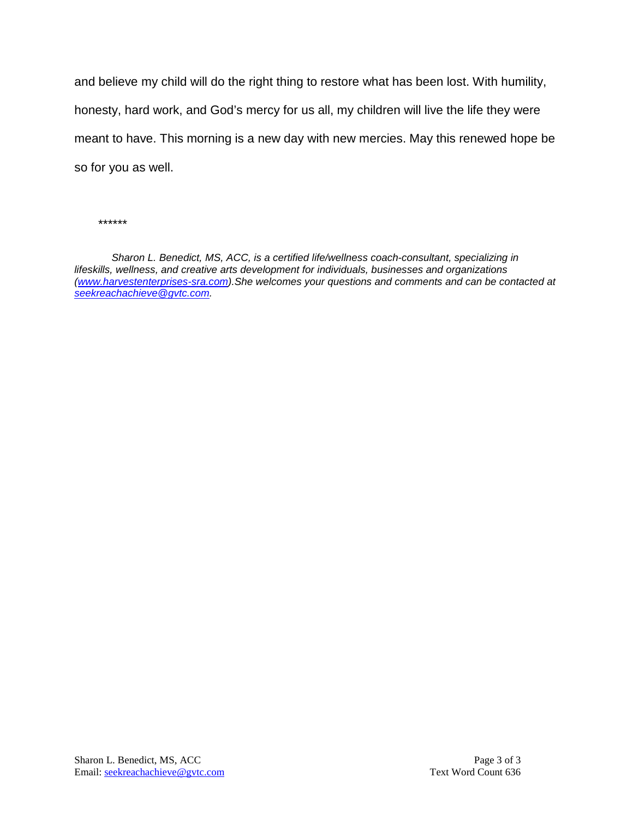and believe my child will do the right thing to restore what has been lost. With humility, honesty, hard work, and God's mercy for us all, my children will live the life they were meant to have. This morning is a new day with new mercies. May this renewed hope be so for you as well.

*\*\*\*\*\*\**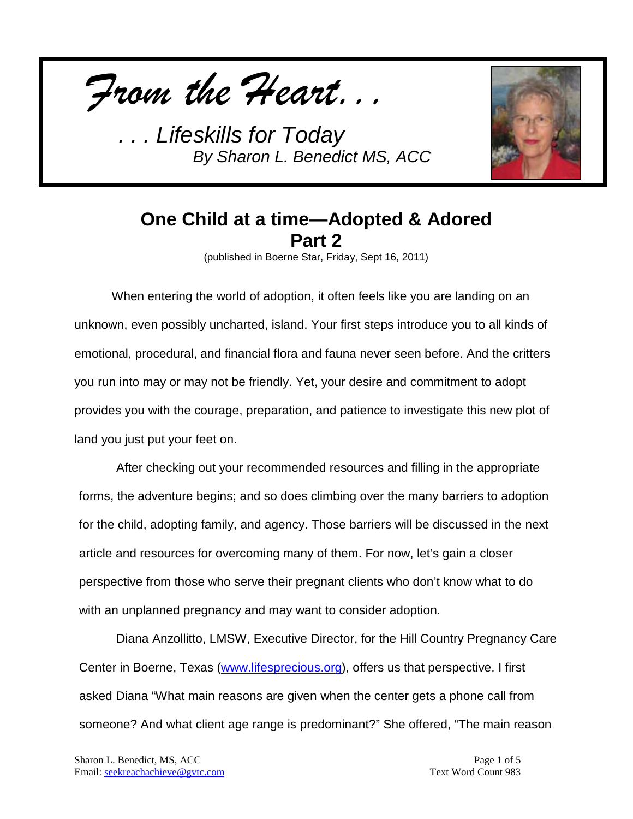



## **One Child at a time—Adopted & Adored Part 2**

(published in Boerne Star, Friday, Sept 16, 2011)

When entering the world of adoption, it often feels like you are landing on an unknown, even possibly uncharted, island. Your first steps introduce you to all kinds of emotional, procedural, and financial flora and fauna never seen before. And the critters you run into may or may not be friendly. Yet, your desire and commitment to adopt provides you with the courage, preparation, and patience to investigate this new plot of land you just put your feet on.

After checking out your recommended resources and filling in the appropriate forms, the adventure begins; and so does climbing over the many barriers to adoption for the child, adopting family, and agency. Those barriers will be discussed in the next article and resources for overcoming many of them. For now, let's gain a closer perspective from those who serve their pregnant clients who don't know what to do with an unplanned pregnancy and may want to consider adoption.

Diana Anzollitto, LMSW, Executive Director, for the Hill Country Pregnancy Care Center in Boerne, Texas [\(www.lifesprecious.org\)](http://www.lifesprecious.org/), offers us that perspective. I first asked Diana "What main reasons are given when the center gets a phone call from someone? And what client age range is predominant?" She offered, "The main reason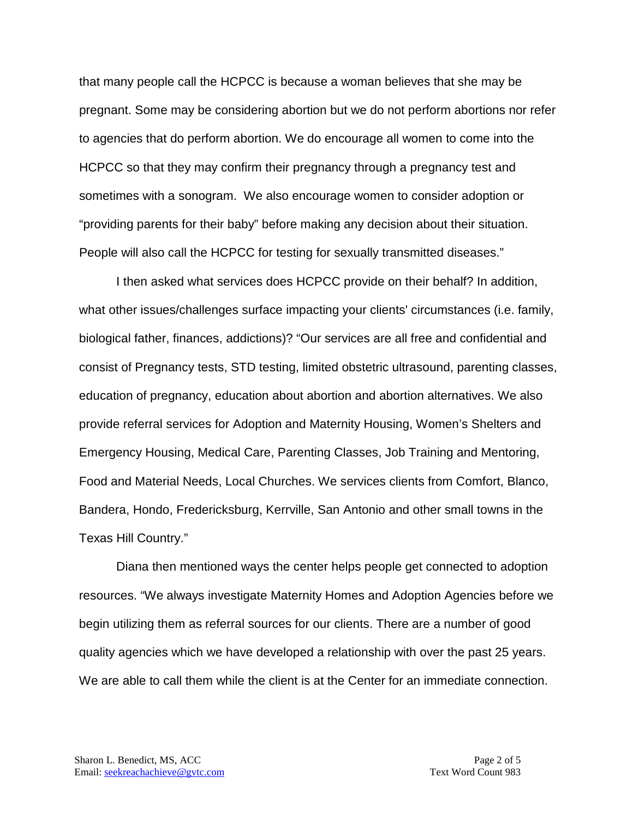that many people call the HCPCC is because a woman believes that she may be pregnant. Some may be considering abortion but we do not perform abortions nor refer to agencies that do perform abortion. We do encourage all women to come into the HCPCC so that they may confirm their pregnancy through a pregnancy test and sometimes with a sonogram. We also encourage women to consider adoption or "providing parents for their baby" before making any decision about their situation. People will also call the HCPCC for testing for sexually transmitted diseases."

I then asked what services does HCPCC provide on their behalf? In addition, what other issues/challenges surface impacting your clients' circumstances (i.e. family, biological father, finances, addictions)? "Our services are all free and confidential and consist of Pregnancy tests, STD testing, limited obstetric ultrasound, parenting classes, education of pregnancy, education about abortion and abortion alternatives. We also provide referral services for Adoption and Maternity Housing, Women's Shelters and Emergency Housing, Medical Care, Parenting Classes, Job Training and Mentoring, Food and Material Needs, Local Churches. We services clients from Comfort, Blanco, Bandera, Hondo, Fredericksburg, Kerrville, San Antonio and other small towns in the Texas Hill Country."

Diana then mentioned ways the center helps people get connected to adoption resources. "We always investigate Maternity Homes and Adoption Agencies before we begin utilizing them as referral sources for our clients. There are a number of good quality agencies which we have developed a relationship with over the past 25 years. We are able to call them while the client is at the Center for an immediate connection.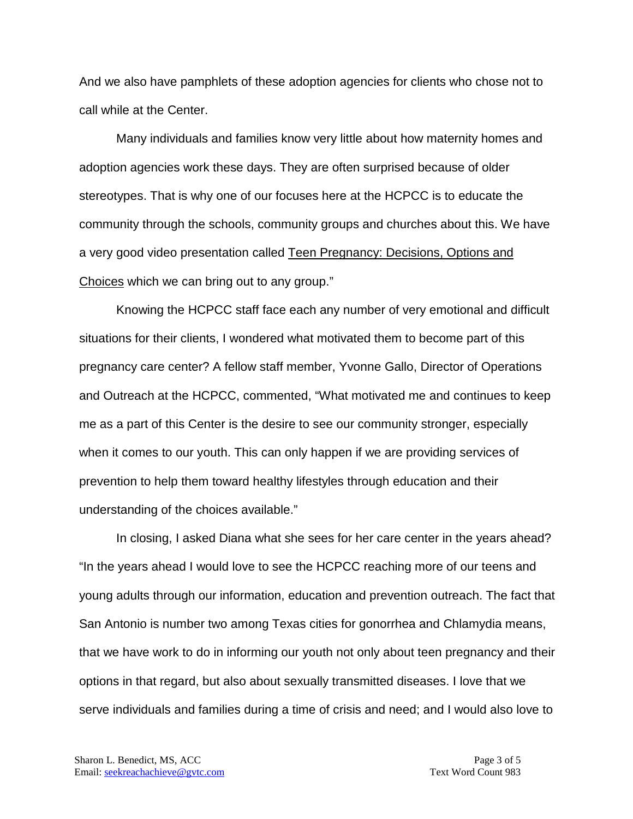And we also have pamphlets of these adoption agencies for clients who chose not to call while at the Center.

Many individuals and families know very little about how maternity homes and adoption agencies work these days. They are often surprised because of older stereotypes. That is why one of our focuses here at the HCPCC is to educate the community through the schools, community groups and churches about this. We have a very good video presentation called Teen Pregnancy: Decisions, Options and Choices which we can bring out to any group."

Knowing the HCPCC staff face each any number of very emotional and difficult situations for their clients, I wondered what motivated them to become part of this pregnancy care center? A fellow staff member, Yvonne Gallo, Director of Operations and Outreach at the HCPCC, commented, "What motivated me and continues to keep me as a part of this Center is the desire to see our community stronger, especially when it comes to our youth. This can only happen if we are providing services of prevention to help them toward healthy lifestyles through education and their understanding of the choices available."

In closing, I asked Diana what she sees for her care center in the years ahead? "In the years ahead I would love to see the HCPCC reaching more of our teens and young adults through our information, education and prevention outreach. The fact that San Antonio is number two among Texas cities for gonorrhea and Chlamydia means, that we have work to do in informing our youth not only about teen pregnancy and their options in that regard, but also about sexually transmitted diseases. I love that we serve individuals and families during a time of crisis and need; and I would also love to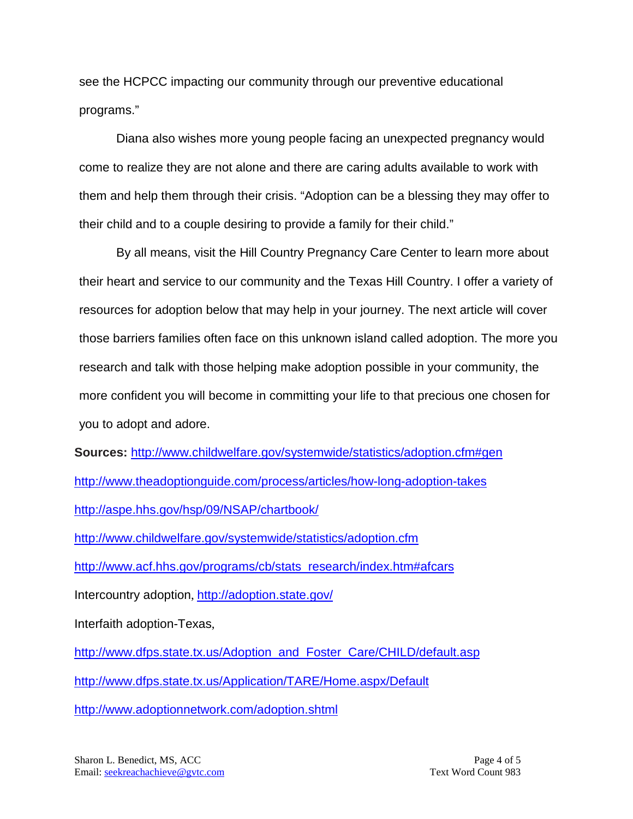see the HCPCC impacting our community through our preventive educational programs."

Diana also wishes more young people facing an unexpected pregnancy would come to realize they are not alone and there are caring adults available to work with them and help them through their crisis. "Adoption can be a blessing they may offer to their child and to a couple desiring to provide a family for their child."

By all means, visit the Hill Country Pregnancy Care Center to learn more about their heart and service to our community and the Texas Hill Country. I offer a variety of resources for adoption below that may help in your journey. The next article will cover those barriers families often face on this unknown island called adoption. The more you research and talk with those helping make adoption possible in your community, the more confident you will become in committing your life to that precious one chosen for you to adopt and adore.

**Sources:** <http://www.childwelfare.gov/systemwide/statistics/adoption.cfm#gen> <http://www.theadoptionguide.com/process/articles/how-long-adoption-takes> <http://aspe.hhs.gov/hsp/09/NSAP/chartbook/>

<http://www.childwelfare.gov/systemwide/statistics/adoption.cfm>

[http://www.acf.hhs.gov/programs/cb/stats\\_research/index.htm#afcars](http://www.acf.hhs.gov/programs/cb/stats_research/index.htm#afcars)

Intercountry adoption, <http://adoption.state.gov/>

Interfaith adoption-Texas,

[http://www.dfps.state.tx.us/Adoption\\_and\\_Foster\\_Care/CHILD/default.asp](http://www.dfps.state.tx.us/Adoption_and_Foster_Care/CHILD/default.asp) <http://www.dfps.state.tx.us/Application/TARE/Home.aspx/Default>

<http://www.adoptionnetwork.com/adoption.shtml>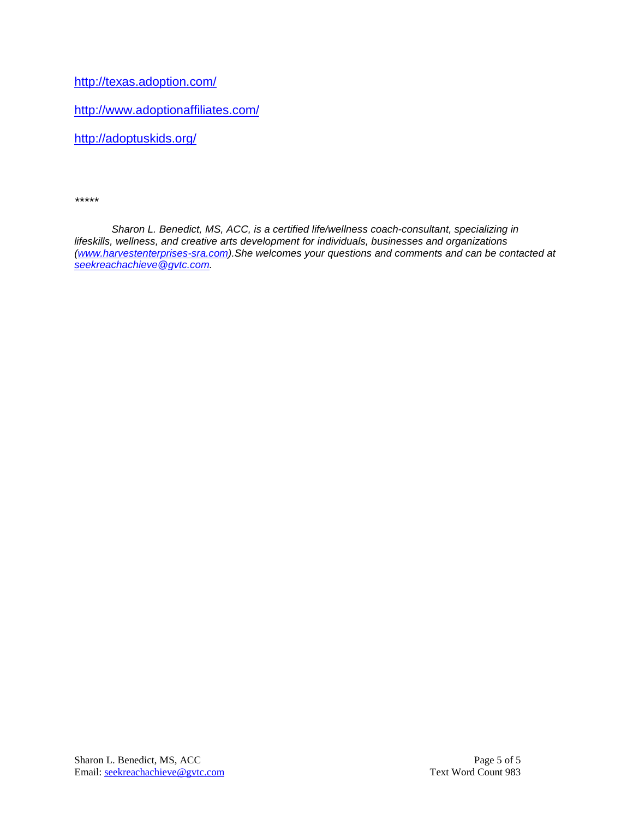<http://texas.adoption.com/>

<http://www.adoptionaffiliates.com/>

<http://adoptuskids.org/>

*\*\*\*\*\**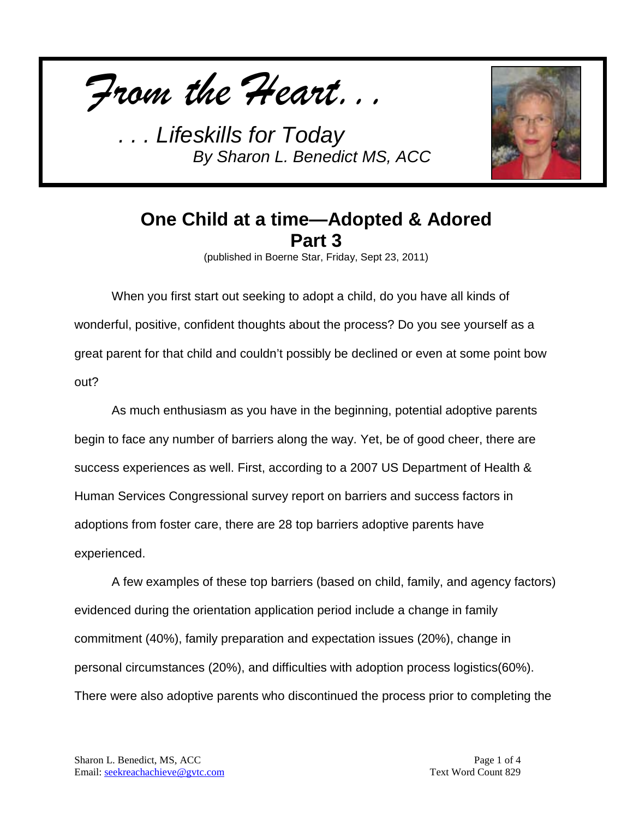



## **One Child at a time—Adopted & Adored Part 3**

(published in Boerne Star, Friday, Sept 23, 2011)

When you first start out seeking to adopt a child, do you have all kinds of wonderful, positive, confident thoughts about the process? Do you see yourself as a great parent for that child and couldn't possibly be declined or even at some point bow out?

As much enthusiasm as you have in the beginning, potential adoptive parents begin to face any number of barriers along the way. Yet, be of good cheer, there are success experiences as well. First, according to a 2007 US Department of Health & Human Services Congressional survey report on barriers and success factors in adoptions from foster care, there are 28 top barriers adoptive parents have experienced.

A few examples of these top barriers (based on child, family, and agency factors) evidenced during the orientation application period include a change in family commitment (40%), family preparation and expectation issues (20%), change in personal circumstances (20%), and difficulties with adoption process logistics(60%). There were also adoptive parents who discontinued the process prior to completing the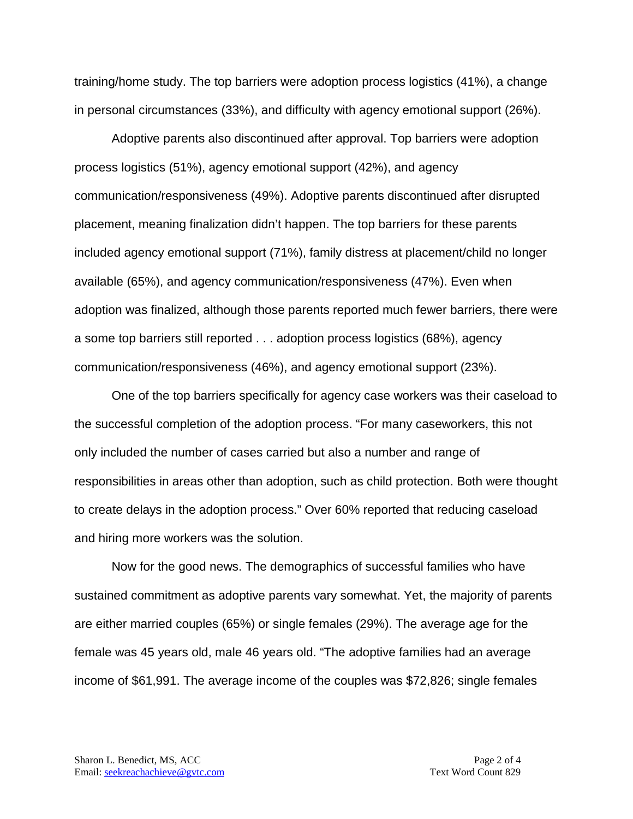training/home study. The top barriers were adoption process logistics (41%), a change in personal circumstances (33%), and difficulty with agency emotional support (26%).

Adoptive parents also discontinued after approval. Top barriers were adoption process logistics (51%), agency emotional support (42%), and agency communication/responsiveness (49%). Adoptive parents discontinued after disrupted placement, meaning finalization didn't happen. The top barriers for these parents included agency emotional support (71%), family distress at placement/child no longer available (65%), and agency communication/responsiveness (47%). Even when adoption was finalized, although those parents reported much fewer barriers, there were a some top barriers still reported . . . adoption process logistics (68%), agency communication/responsiveness (46%), and agency emotional support (23%).

One of the top barriers specifically for agency case workers was their caseload to the successful completion of the adoption process. "For many caseworkers, this not only included the number of cases carried but also a number and range of responsibilities in areas other than adoption, such as child protection. Both were thought to create delays in the adoption process." Over 60% reported that reducing caseload and hiring more workers was the solution.

Now for the good news. The demographics of successful families who have sustained commitment as adoptive parents vary somewhat. Yet, the majority of parents are either married couples (65%) or single females (29%). The average age for the female was 45 years old, male 46 years old. "The adoptive families had an average income of \$61,991. The average income of the couples was \$72,826; single females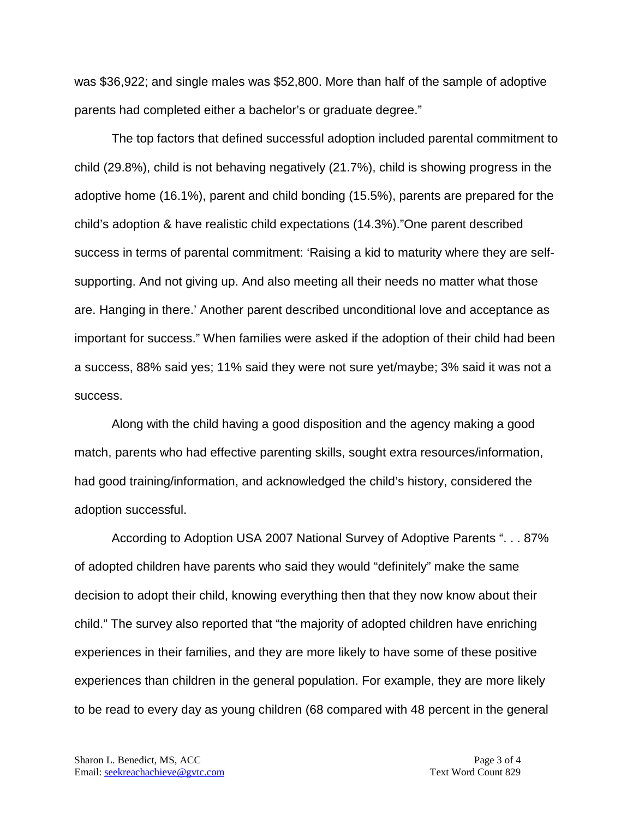was \$36,922; and single males was \$52,800. More than half of the sample of adoptive parents had completed either a bachelor's or graduate degree."

The top factors that defined successful adoption included parental commitment to child (29.8%), child is not behaving negatively (21.7%), child is showing progress in the adoptive home (16.1%), parent and child bonding (15.5%), parents are prepared for the child's adoption & have realistic child expectations (14.3%)."One parent described success in terms of parental commitment: 'Raising a kid to maturity where they are selfsupporting. And not giving up. And also meeting all their needs no matter what those are. Hanging in there.' Another parent described unconditional love and acceptance as important for success." When families were asked if the adoption of their child had been a success, 88% said yes; 11% said they were not sure yet/maybe; 3% said it was not a success.

Along with the child having a good disposition and the agency making a good match, parents who had effective parenting skills, sought extra resources/information, had good training/information, and acknowledged the child's history, considered the adoption successful.

According to Adoption USA 2007 National Survey of Adoptive Parents ". . . 87% of adopted children have parents who said they would "definitely" make the same decision to adopt their child, knowing everything then that they now know about their child." The survey also reported that "the majority of adopted children have enriching experiences in their families, and they are more likely to have some of these positive experiences than children in the general population. For example, they are more likely to be read to every day as young children (68 compared with 48 percent in the general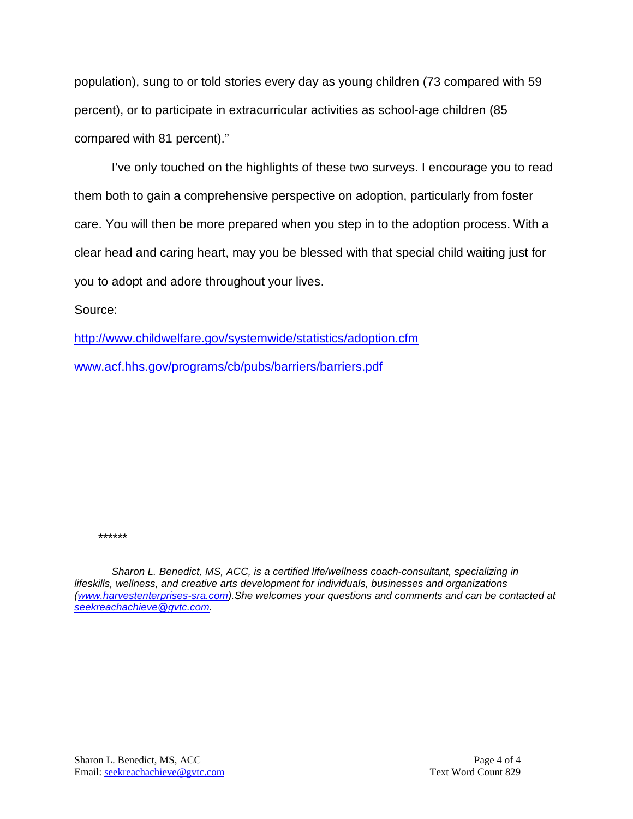population), sung to or told stories every day as young children (73 compared with 59 percent), or to participate in extracurricular activities as school-age children (85 compared with 81 percent)."

I've only touched on the highlights of these two surveys. I encourage you to read them both to gain a comprehensive perspective on adoption, particularly from foster care. You will then be more prepared when you step in to the adoption process. With a clear head and caring heart, may you be blessed with that special child waiting just for you to adopt and adore throughout your lives.

Source:

<http://www.childwelfare.gov/systemwide/statistics/adoption.cfm>

[www.acf.hhs.gov/programs/cb/pubs/barriers/barriers.pdf](http://www.acf.hhs.gov/programs/cb/pubs/barriers/barriers.pdf)

*\*\*\*\*\*\**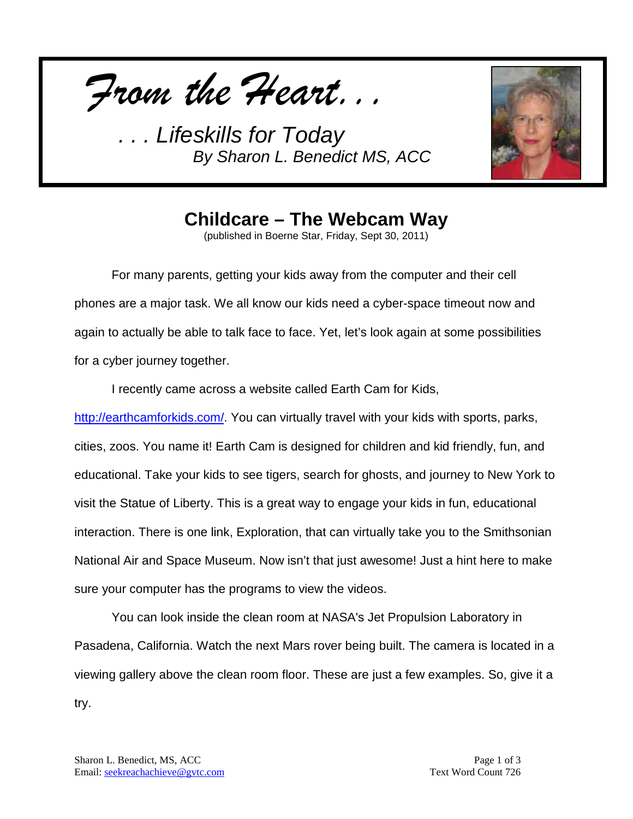*From the Heart...*



**Childcare – The Webcam Way**

(published in Boerne Star, Friday, Sept 30, 2011)

For many parents, getting your kids away from the computer and their cell phones are a major task. We all know our kids need a cyber-space timeout now and again to actually be able to talk face to face. Yet, let's look again at some possibilities for a cyber journey together.

I recently came across a website called Earth Cam for Kids,

[http://earthcamforkids.com/.](http://earthcamforkids.com/) You can virtually travel with your kids with sports, parks, cities, zoos. You name it! Earth Cam is designed for children and kid friendly, fun, and educational. Take your kids to see tigers, search for ghosts, and journey to New York to visit the Statue of Liberty. This is a great way to engage your kids in fun, educational interaction. There is one link, Exploration, that can virtually take you to the Smithsonian National Air and Space Museum. Now isn't that just awesome! Just a hint here to make sure your computer has the programs to view the videos.

You can look inside the clean room at NASA's Jet Propulsion Laboratory in Pasadena, California. Watch the next Mars rover being built. The camera is located in a viewing gallery above the clean room floor. These are just a few examples. So, give it a try.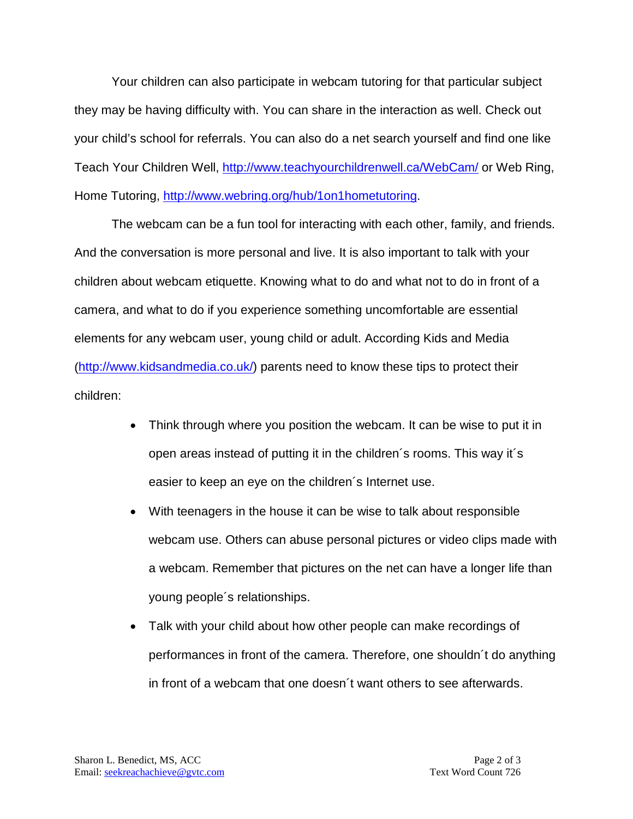Your children can also participate in webcam tutoring for that particular subject they may be having difficulty with. You can share in the interaction as well. Check out your child's school for referrals. You can also do a net search yourself and find one like Teach Your Children Well,<http://www.teachyourchildrenwell.ca/WebCam/> or Web Ring, Home Tutoring, [http://www.webring.org/hub/1on1hometutoring.](http://www.webring.org/hub/1on1hometutoring)

The webcam can be a fun tool for interacting with each other, family, and friends. And the conversation is more personal and live. It is also important to talk with your children about webcam etiquette. Knowing what to do and what not to do in front of a camera, and what to do if you experience something uncomfortable are essential elements for any webcam user, young child or adult. According Kids and Media [\(http://www.kidsandmedia.co.uk/\)](http://www.kidsandmedia.co.uk/) parents need to know these tips to protect their children:

- Think through where you position the webcam. It can be wise to put it in open areas instead of putting it in the children´s rooms. This way it´s easier to keep an eye on the children´s Internet use.
- With teenagers in the house it can be wise to talk about responsible webcam use. Others can abuse personal pictures or video clips made with a webcam. Remember that pictures on the net can have a longer life than young people´s relationships.
- Talk with your child about how other people can make recordings of performances in front of the camera. Therefore, one shouldn´t do anything in front of a webcam that one doesn´t want others to see afterwards.